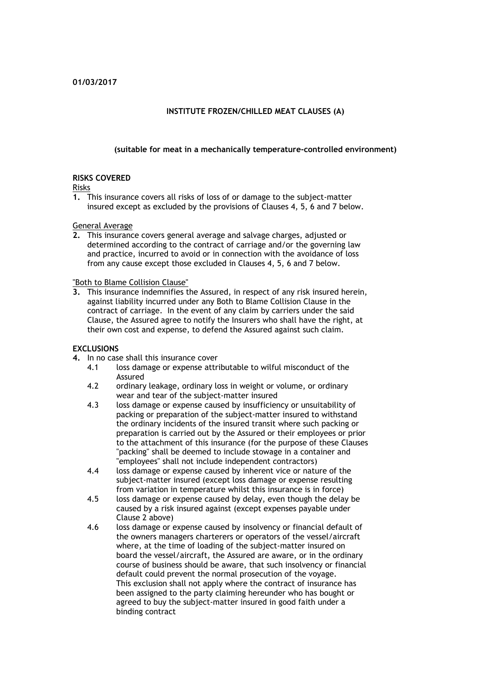### **INSTITUTE FROZEN/CHILLED MEAT CLAUSES (A)**

#### **(suitable for meat in a mechanically temperature-controlled environment)**

#### **RISKS COVERED**

Risks

**1.** This insurance covers all risks of loss of or damage to the subject-matter insured except as excluded by the provisions of Clauses 4, 5, 6 and 7 below.

General Average

**2.** This insurance covers general average and salvage charges, adjusted or determined according to the contract of carriage and/or the governing law and practice, incurred to avoid or in connection with the avoidance of loss from any cause except those excluded in Clauses 4, 5, 6 and 7 below.

"Both to Blame Collision Clause"

**3.** This insurance indemnifies the Assured, in respect of any risk insured herein, against liability incurred under any Both to Blame Collision Clause in the contract of carriage. In the event of any claim by carriers under the said Clause, the Assured agree to notify the Insurers who shall have the right, at their own cost and expense, to defend the Assured against such claim.

#### **EXCLUSIONS**

- **4.** In no case shall this insurance cover
	- 4.1 loss damage or expense attributable to wilful misconduct of the Assured
	- 4.2 ordinary leakage, ordinary loss in weight or volume, or ordinary wear and tear of the subject-matter insured
	- 4.3 loss damage or expense caused by insufficiency or unsuitability of packing or preparation of the subject-matter insured to withstand the ordinary incidents of the insured transit where such packing or preparation is carried out by the Assured or their employees or prior to the attachment of this insurance (for the purpose of these Clauses "packing" shall be deemed to include stowage in a container and "employees" shall not include independent contractors)
	- 4.4 loss damage or expense caused by inherent vice or nature of the subject-matter insured (except loss damage or expense resulting from variation in temperature whilst this insurance is in force)
	- 4.5 loss damage or expense caused by delay, even though the delay be caused by a risk insured against (except expenses payable under Clause 2 above)
	- 4.6 loss damage or expense caused by insolvency or financial default of the owners managers charterers or operators of the vessel/aircraft where, at the time of loading of the subject-matter insured on board the vessel/aircraft, the Assured are aware, or in the ordinary course of business should be aware, that such insolvency or financial default could prevent the normal prosecution of the voyage. This exclusion shall not apply where the contract of insurance has been assigned to the party claiming hereunder who has bought or agreed to buy the subject-matter insured in good faith under a binding contract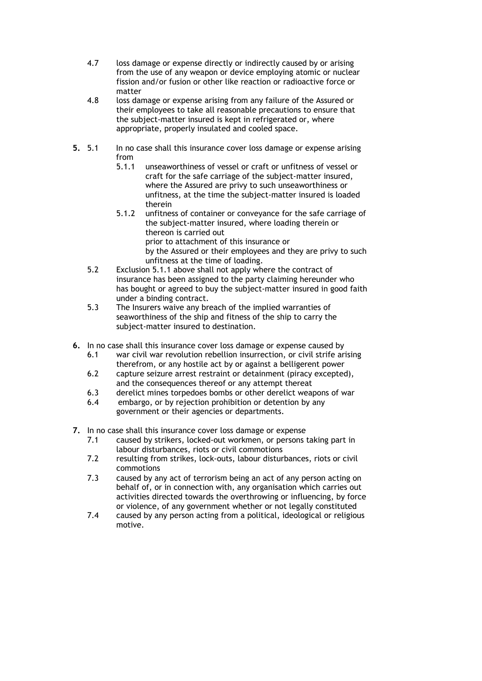- 4.7 loss damage or expense directly or indirectly caused by or arising from the use of any weapon or device employing atomic or nuclear fission and/or fusion or other like reaction or radioactive force or matter
- 4.8 loss damage or expense arising from any failure of the Assured or their employees to take all reasonable precautions to ensure that the subject-matter insured is kept in refrigerated or, where appropriate, properly insulated and cooled space.
- **5.** 5.1 In no case shall this insurance cover loss damage or expense arising from
	- 5.1.1 unseaworthiness of vessel or craft or unfitness of vessel or craft for the safe carriage of the subject-matter insured, where the Assured are privy to such unseaworthiness or unfitness, at the time the subject-matter insured is loaded therein
	- 5.1.2 unfitness of container or conveyance for the safe carriage of the subject-matter insured, where loading therein or thereon is carried out prior to attachment of this insurance or by the Assured or their employees and they are privy to such unfitness at the time of loading.
	- 5.2 Exclusion 5.1.1 above shall not apply where the contract of insurance has been assigned to the party claiming hereunder who has bought or agreed to buy the subject-matter insured in good faith under a binding contract.
	- 5.3 The Insurers waive any breach of the implied warranties of seaworthiness of the ship and fitness of the ship to carry the subject-matter insured to destination.
- **6.** In no case shall this insurance cover loss damage or expense caused by
	- 6.1 war civil war revolution rebellion insurrection, or civil strife arising therefrom, or any hostile act by or against a belligerent power
	- 6.2 capture seizure arrest restraint or detainment (piracy excepted), and the consequences thereof or any attempt thereat
	- 6.3 derelict mines torpedoes bombs or other derelict weapons of war
	- 6.4 embargo, or by rejection prohibition or detention by any government or their agencies or departments.
- **7.** In no case shall this insurance cover loss damage or expense
	- 7.1 caused by strikers, locked-out workmen, or persons taking part in labour disturbances, riots or civil commotions
	- 7.2 resulting from strikes, lock-outs, labour disturbances, riots or civil commotions
	- 7.3 caused by any act of terrorism being an act of any person acting on behalf of, or in connection with, any organisation which carries out activities directed towards the overthrowing or influencing, by force or violence, of any government whether or not legally constituted
	- 7.4 caused by any person acting from a political, ideological or religious motive.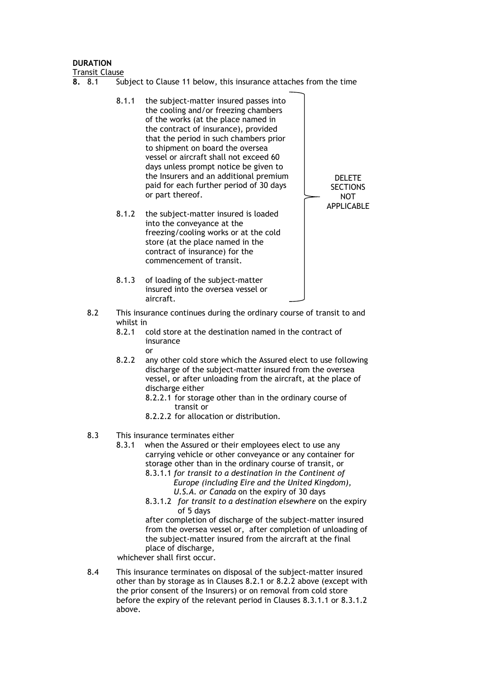#### **DURATION**

Transit Clause

- **8.** 8.1 Subject to Clause 11 below, this insurance attaches from the time
	- 8.1.1 the subject-matter insured passes into the cooling and/or freezing chambers of the works (at the place named in the contract of insurance), provided that the period in such chambers prior to shipment on board the oversea vessel or aircraft shall not exceed 60 days unless prompt notice be given to the Insurers and an additional premium paid for each further period of 30 days or part thereof. DELETE **SECTIONS** NOT APPLICABLE
	- 8.1.2 the subject-matter insured is loaded into the conveyance at the freezing/cooling works or at the cold store (at the place named in the contract of insurance) for the commencement of transit.
	- 8.1.3 of loading of the subject-matter insured into the oversea vessel or aircraft.
	- 8.2 This insurance continues during the ordinary course of transit to and whilst in  $8.2.1$ 
		- cold store at the destination named in the contract of insurance or
		- 8.2.2 any other cold store which the Assured elect to use following discharge of the subject-matter insured from the oversea vessel, or after unloading from the aircraft, at the place of discharge either
			- 8.2.2.1 for storage other than in the ordinary course of transit or
			- 8.2.2.2 for allocation or distribution.
	- 8.3 This insurance terminates either
		- 8.3.1when the Assured or their employees elect to use any carrying vehicle or other conveyance or any container for storage other than in the ordinary course of transit, or
			- 8.3.1.1 *for transit to a destination in the Continent of Europe (including Eire and the United Kingdom), U.S.A. or Canada* on the expiry of 30 days
			- 8.3.1.2 *for transit to a destination elsewhere* on the expiry of 5 days

after completion of discharge of the subject-matter insured from the oversea vessel or, after completion of unloading of the subject-matter insured from the aircraft at the final place of discharge,

whichever shall first occur.

8.4 This insurance terminates on disposal of the subject-matter insured other than by storage as in Clauses 8.2.1 or 8.2.2 above (except with the prior consent of the Insurers) or on removal from cold store before the expiry of the relevant period in Clauses 8.3.1.1 or 8.3.1.2 above.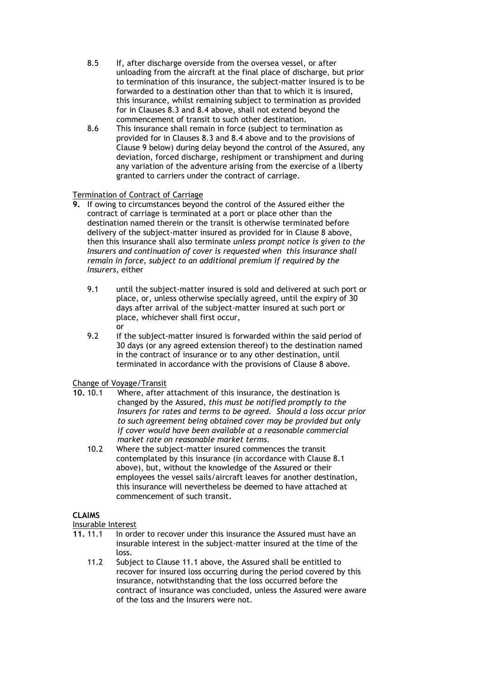- 8.5 If, after discharge overside from the oversea vessel, or after unloading from the aircraft at the final place of discharge, but prior to termination of this insurance, the subject-matter insured is to be forwarded to a destination other than that to which it is insured, this insurance, whilst remaining subject to termination as provided for in Clauses 8.3 and 8.4 above, shall not extend beyond the commencement of transit to such other destination.
- 8.6 This insurance shall remain in force (subject to termination as provided for in Clauses 8.3 and 8.4 above and to the provisions of Clause 9 below) during delay beyond the control of the Assured, any deviation, forced discharge, reshipment or transhipment and during any variation of the adventure arising from the exercise of a liberty granted to carriers under the contract of carriage.

# Termination of Contract of Carriage

- **9.** If owing to circumstances beyond the control of the Assured either the contract of carriage is terminated at a port or place other than the destination named therein or the transit is otherwise terminated before delivery of the subject-matter insured as provided for in Clause 8 above, then this insurance shall also terminate *unless prompt notice is given to the Insurers and continuation of cover is requested when this insurance shall remain in force, subject to an additional premium if required by the Insurers,* either
	- 9.1 until the subject-matter insured is sold and delivered at such port or place, or, unless otherwise specially agreed, until the expiry of 30 days after arrival of the subject-matter insured at such port or place, whichever shall first occur, or
	- 9.2 if the subject-matter insured is forwarded within the said period of 30 days (or any agreed extension thereof) to the destination named in the contract of insurance or to any other destination, until terminated in accordance with the provisions of Clause 8 above.

# Change of Voyage/Transit

- **10.** 10.1 Where, after attachment of this insurance, the destination is changed by the Assured, *this must be notified promptly to the Insurers for rates and terms to be agreed. Should a loss occur prior to such agreement being obtained cover may be provided but only if cover would have been available at a reasonable commercial market rate on reasonable market terms.*
	- 10.2 Where the subject-matter insured commences the transit contemplated by this insurance (in accordance with Clause 8.1 above), but, without the knowledge of the Assured or their employees the vessel sails/aircraft leaves for another destination, this insurance will nevertheless be deemed to have attached at commencement of such transit.

# **CLAIMS**

Insurable Interest

- **11.** 11.1 In order to recover under this insurance the Assured must have an insurable interest in the subject-matter insured at the time of the loss.
	- 11.2 Subject to Clause 11.1 above, the Assured shall be entitled to recover for insured loss occurring during the period covered by this insurance, notwithstanding that the loss occurred before the contract of insurance was concluded, unless the Assured were aware of the loss and the Insurers were not.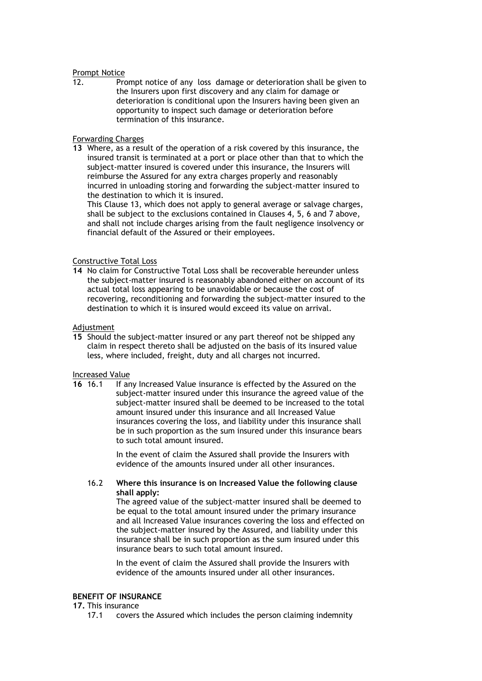#### Prompt Notice

12. Prompt notice of any loss damage or deterioration shall be given to the Insurers upon first discovery and any claim for damage or deterioration is conditional upon the Insurers having been given an opportunity to inspect such damage or deterioration before termination of this insurance.

### Forwarding Charges

**13** Where, as a result of the operation of a risk covered by this insurance, the insured transit is terminated at a port or place other than that to which the subject-matter insured is covered under this insurance, the Insurers will reimburse the Assured for any extra charges properly and reasonably incurred in unloading storing and forwarding the subject-matter insured to the destination to which it is insured.

This Clause 13, which does not apply to general average or salvage charges, shall be subject to the exclusions contained in Clauses 4, 5, 6 and 7 above, and shall not include charges arising from the fault negligence insolvency or financial default of the Assured or their employees.

### Constructive Total Loss

**14** No claim for Constructive Total Loss shall be recoverable hereunder unless the subject-matter insured is reasonably abandoned either on account of its actual total loss appearing to be unavoidable or because the cost of recovering, reconditioning and forwarding the subject-matter insured to the destination to which it is insured would exceed its value on arrival.

#### Adjustment

**15** Should the subject-matter insured or any part thereof not be shipped any claim in respect thereto shall be adjusted on the basis of its insured value less, where included, freight, duty and all charges not incurred.

#### Increased Value

**16** 16.1 If any Increased Value insurance is effected by the Assured on the subject-matter insured under this insurance the agreed value of the subject-matter insured shall be deemed to be increased to the total amount insured under this insurance and all Increased Value insurances covering the loss, and liability under this insurance shall be in such proportion as the sum insured under this insurance bears to such total amount insured.

> In the event of claim the Assured shall provide the Insurers with evidence of the amounts insured under all other insurances.

### 16.2 **Where this insurance is on Increased Value the following clause shall apply:**

The agreed value of the subject-matter insured shall be deemed to be equal to the total amount insured under the primary insurance and all Increased Value insurances covering the loss and effected on the subject-matter insured by the Assured, and liability under this insurance shall be in such proportion as the sum insured under this insurance bears to such total amount insured.

In the event of claim the Assured shall provide the Insurers with evidence of the amounts insured under all other insurances.

#### **BENEFIT OF INSURANCE**

# **17.** This insurance

17.1 covers the Assured which includes the person claiming indemnity